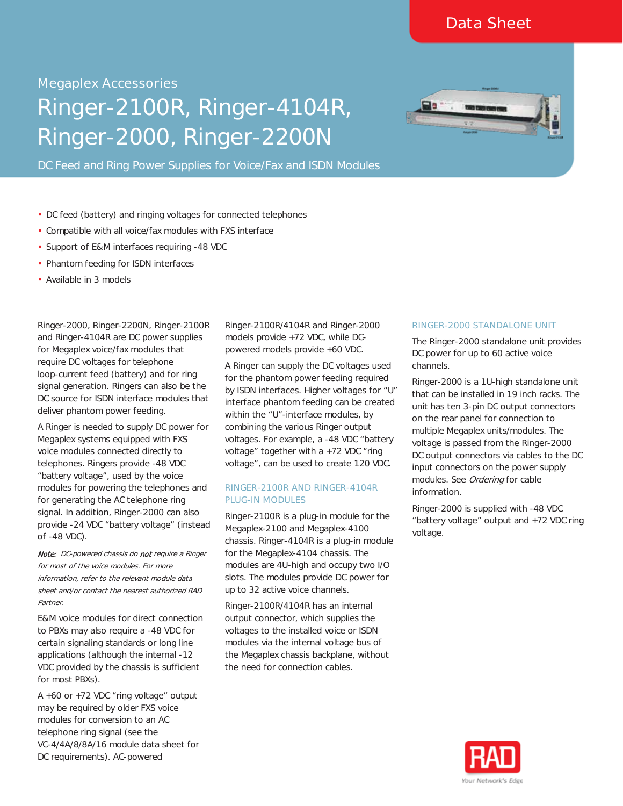# Megaplex Accessories<br> **Ringer-2100F<br>
Ringer-2000,**<br>
DC Feed and Ring Power Su Ringer-2100R, Ringer-4104R, Ringer-2000, Ringer-2200N

DC Feed and Ring Power Supplies for Voice/Fax and ISDN Modules

- DC feed (battery) and ringing voltages for connected telephones
- Compatible with all voice/fax modules with FXS interface
- Support of E&M interfaces requiring -48 VDC ä,
- Phantom feeding for ISDN interfaces
- Available in 3 models

Ringer-2000, Ringer-2200N, Ringer-2100R and Ringer-4104R are DC power supplies for Megaplex voice/fax modules that require DC voltages for telephone loop-current feed (battery) and for ring signal generation. Ringers can also be the DC source for ISDN interface modules that deliver phantom power feeding.

A Ringer is needed to supply DC power for Megaplex systems equipped with FXS voice modules connected directly to telephones. Ringers provide -48 VDC "battery voltage", used by the voice modules for powering the telephones and for generating the AC telephone ring signal. In addition, Ringer-2000 can also provide -24 VDC "battery voltage" (instead of -48 VDC).

Note: DC-powered chassis do not require a Ringer for most of the voice modules. For more information, refer to the relevant module data sheet and/or contact the nearest authorized RAD Partner.

E&M voice modules for direct connection to PBXs may also require a -48 VDC for certain signaling standards or long line applications (although the internal -12 VDC provided by the chassis is sufficient for most PBXs).

A +60 or +72 VDC "ring voltage" output may be required by older FXS voice modules for conversion to an AC telephone ring signal (see the VC-4/4A/8/8A/16 module data sheet for DC requirements). AC-powered

Ringer-2100R/4104R and Ringer-2000 models provide +72 VDC, while DCpowered models provide +60 VDC.

A Ringer can supply the DC voltages used for the phantom power feeding required by ISDN interfaces. Higher voltages for "U" interface phantom feeding can be created within the "U"-interface modules, by combining the various Ringer output voltages. For example, a -48 VDC "battery voltage" together with a +72 VDC "ring voltage", can be used to create 120 VDC.

#### **RINGER-2100R AND RINGER-4104R PLUG-IN MODULES**

Ringer-2100R is a plug-in module for the Megaplex-2100 and Megaplex-4100 chassis. Ringer-4104R is a plug-in module for the Megaplex-4104 chassis. The modules are 4U-high and occupy two I/O slots. The modules provide DC power for up to 32 active voice channels.

Ringer-2100R/4104R has an internal output connector, which supplies the voltages to the installed voice or ISDN modules via the internal voltage bus of the Megaplex chassis backplane, without the need for connection cables.

#### **RINGER-2000 STANDALONE UNIT**

The Ringer-2000 standalone unit provides DC power for up to 60 active voice channels.

Ringer-2000 is a 1U-high standalone unit that can be installed in 19 inch racks. The unit has ten 3-pin DC output connectors on the rear panel for connection to multiple Megaplex units/modules. The voltage is passed from the Ringer-2000 DC output connectors via cables to the DC input connectors on the power supply modules. See Ordering for cable information.

Ringer-2000 is supplied with -48 VDC "battery voltage" output and +72 VDC ring voltage.

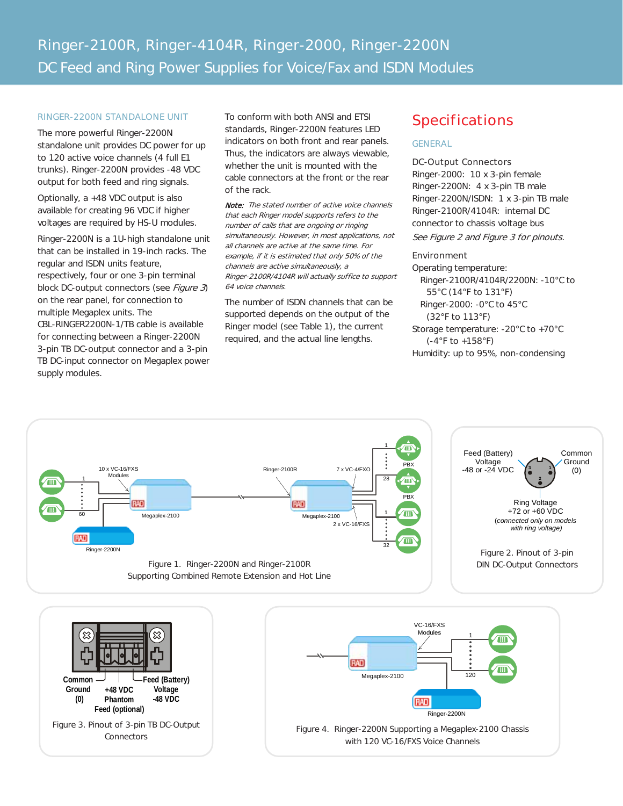#### **RINGER-2200N STANDALONE UNIT**

The more powerful Ringer-2200N standalone unit provides DC power for up to 120 active voice channels (4 full E1 trunks). Ringer-2200N provides -48 VDC output for both feed and ring signals.

Optionally, a +48 VDC output is also available for creating 96 VDC if higher voltages are required by HS-U modules.

Ringer-2200N is a 1U-high standalone unit that can be installed in 19-inch racks. The regular and ISDN units feature, respectively, four or one 3-pin terminal block DC-output connectors (see Figure 3) on the rear panel, for connection to multiple Megaplex units. The CBL-RINGER2200N-1/TB cable is available for connecting between a Ringer-2200N 3-pin TB DC-output connector and a 3-pin TB DC-input connector on Megaplex power supply modules.

To conform with both ANSI and ETSI standards, Ringer-2200N features LED indicators on both front and rear panels. Thus, the indicators are always viewable, whether the unit is mounted with the cable connectors at the front or the rear of the rack.

Note: The stated number of active voice channels that each Ringer model supports refers to the number of calls that are ongoing or ringing simultaneously. However, in most applications, not all channels are active at the same time. For example, if it is estimated that only 50% of the channels are active simultaneously, a Ringer-2100R/4104R will actually suffice to support 64 voice channels.

The number of ISDN channels that can be supported depends on the output of the Ringer model (see Table 1), the current required, and the actual line lengths.

# **Specifications**

#### **GENERAL**

#### **DC-Output Connectors**

Ringer-2000: 10 x 3-pin female Ringer-2200N: 4 x 3-pin TB male Ringer-2200N/ISDN: 1 x 3-pin TB male Ringer-2100R/4104R: internal DC connector to chassis voltage bus

See Figure 2 and Figure 3 for pinouts.

#### **Environment**

Operating temperature: Ringer-2100R/4104R/2200N: -10°C to 55°C (14°F to 131°F) Ringer-2000: -0°C to 45°C (32°F to 113°F) Storage temperature: -20°C to +70°C (-4°F to +158°F) Humidity: up to 95%, non-condensing



with 120 VC-16/FXS Voice Channels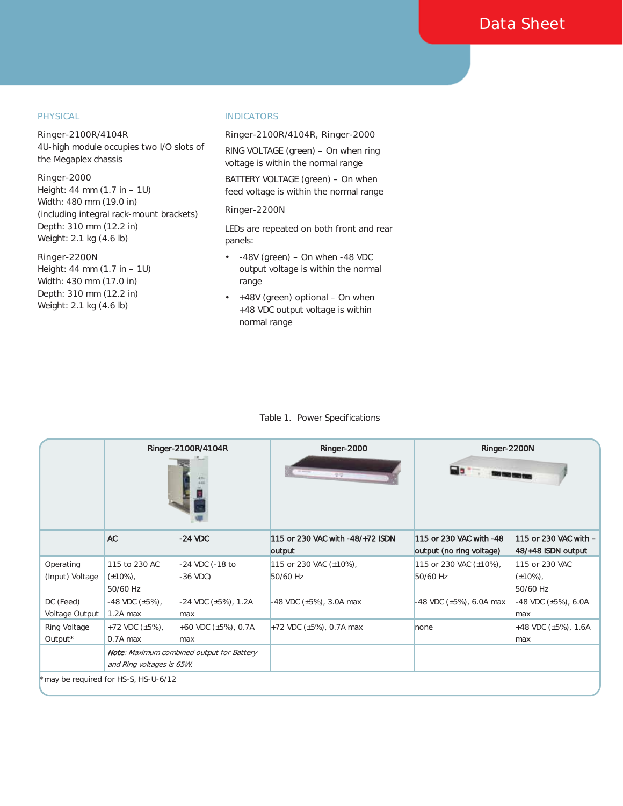#### **PHYSICAL**

#### **Ringer-2100R/4104R**

4U-high module occupies two I/O slots of the Megaplex chassis

#### **Ringer-2000**

Height: 44 mm (1.7 in – 1U) Width: 480 mm (19.0 in) (including integral rack-mount brackets) Depth: 310 mm (12.2 in) Weight: 2.1 kg (4.6 lb)

#### **Ringer-2200N**

Height: 44 mm (1.7 in – 1U) Width: 430 mm (17.0 in) Depth: 310 mm (12.2 in) Weight: 2.1 kg (4.6 lb)

#### **INDICATORS**

### **Ringer-2100R/4104R, Ringer-2000**

RING VOLTAGE (green) – On when ring voltage is within the normal range

BATTERY VOLTAGE (green) – On when feed voltage is within the normal range

#### **Ringer-2200N**

LEDs are repeated on both front and rear panels:

- -48V (green) On when -48 VDC t, output voltage is within the normal range
- +48V (green) optional On when k. +48 VDC output voltage is within normal range

#### Table 1. Power Specifications

|                                     | Ringer-2100R/4104R                                                            |                                      | Ringer-2000<br>1919                        | Ringer-2200N<br><b>PO 5 7</b>                       |                                              |
|-------------------------------------|-------------------------------------------------------------------------------|--------------------------------------|--------------------------------------------|-----------------------------------------------------|----------------------------------------------|
|                                     | <b>AC</b>                                                                     | $-24$ VDC                            | 115 or 230 VAC with -48/+72 ISDN<br>output | 115 or 230 VAC with -48<br>output (no ring voltage) | 115 or 230 VAC with -<br>48/+48 ISDN output  |
| Operating<br>(Input) Voltage        | 115 to 230 AC<br>$(\pm 10\%)$ ,<br>50/60 Hz                                   | -24 VDC (-18 to<br>$-36 \text{ VDC}$ | 115 or 230 VAC (±10%),<br>50/60 Hz         | 115 or 230 VAC (±10%),<br>50/60 Hz                  | 115 or 230 VAC<br>$(\pm 10\%)$ ,<br>50/60 Hz |
| DC (Feed)<br>Voltage Output         | $-48$ VDC $(\pm 5\%)$ ,<br>1.2A max                                           | $-24$ VDC ( $\pm$ 5%), 1.2A<br>max   | -48 VDC (±5%), 3.0A max                    | -48 VDC (±5%), 6.0A max                             | $-48$ VDC ( $\pm 5\%$ ), 6.0A<br>max         |
| Ring Voltage<br>Output*             | $+72$ VDC ( $\pm$ 5%),<br>0.7A max                                            | +60 VDC $(\pm 5\%)$ , 0.7A<br>max    | +72 VDC $(\pm 5%)$ , 0.7A max              | none                                                | +48 VDC (±5%), 1.6A<br>max                   |
|                                     | <b>Note:</b> Maximum combined output for Battery<br>and Ring voltages is 65W. |                                      |                                            |                                                     |                                              |
| may be required for HS-S, HS-U-6/12 |                                                                               |                                      |                                            |                                                     |                                              |